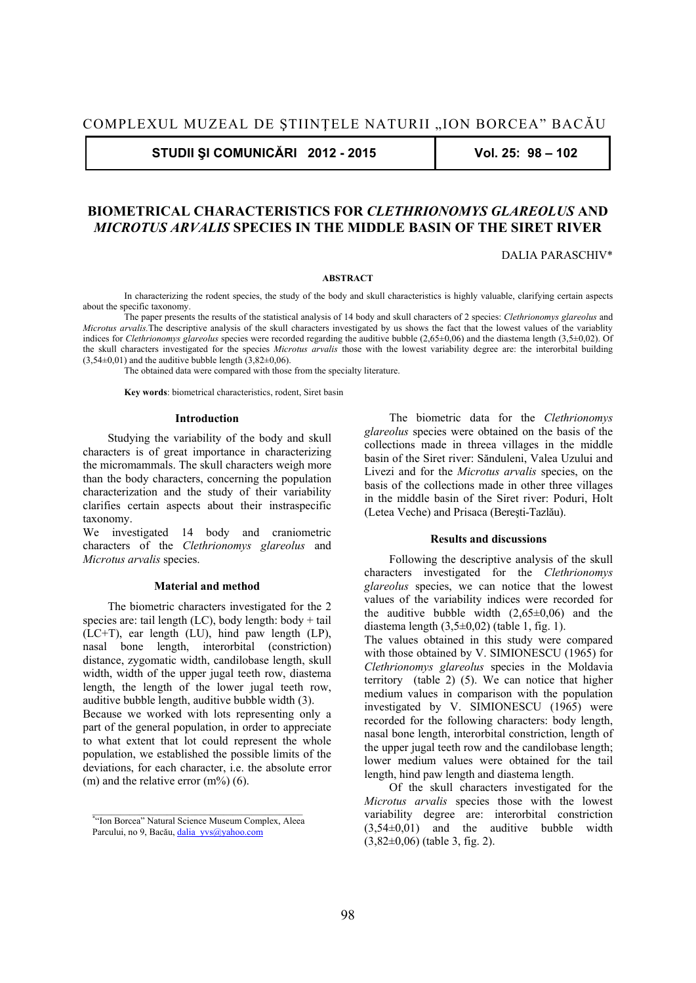**STUDII ŞI COMUNICĂRI 2012 - 2015 Vol. 25: 98 – 102** 

# **BIOMETRICAL CHARACTERISTICS FOR** *CLETHRIONOMYS GLAREOLUS* **AND**  *MICROTUS ARVALIS* **SPECIES IN THE MIDDLE BASIN OF THE SIRET RIVER**

DALIA PARASCHIV\*

#### **ABSTRACT**

 In characterizing the rodent species, the study of the body and skull characteristics is highly valuable, clarifying certain aspects about the specific taxonomy.

 The paper presents the results of the statistical analysis of 14 body and skull characters of 2 species: *Clethrionomys glareolus* and *Microtus arvalis*. The descriptive analysis of the skull characters investigated by us shows the fact that the lowest values of the variablity indices for *Clethrionomys glareolus* species were recorded regarding the auditive bubble (2,65±0,06) and the diastema length (3,5±0,02). Of the skull characters investigated for the species *Microtus arvalis* those with the lowest variability degree are: the interorbital building  $(3,54\pm0,01)$  and the auditive bubble length  $(3,82\pm0,06)$ .

The obtained data were compared with those from the specialty literature.

**Key words**: biometrical characteristics, rodent, Siret basin

### **Introduction**

Studying the variability of the body and skull characters is of great importance in characterizing the micromammals. The skull characters weigh more than the body characters, concerning the population characterization and the study of their variability clarifies certain aspects about their instraspecific taxonomy.

We investigated 14 body and craniometric characters of the *Clethrionomys glareolus* and *Microtus arvalis* species.

#### **Material and method**

The biometric characters investigated for the 2 species are: tail length  $(LC)$ , body length: body + tail (LC+T), ear length (LU), hind paw length (LP), nasal bone length, interorbital (constriction) distance, zygomatic width, candilobase length, skull width, width of the upper jugal teeth row, diastema length, the length of the lower jugal teeth row, auditive bubble length, auditive bubble width (3).

Because we worked with lots representing only a part of the general population, in order to appreciate to what extent that lot could represent the whole population, we established the possible limits of the deviations, for each character, i.e. the absolute error (m) and the relative error  $(m\%)$  (6).

The biometric data for the *Clethrionomys glareolus* species were obtained on the basis of the collections made in threea villages in the middle basin of the Siret river: Sănduleni, Valea Uzului and Livezi and for the *Microtus arvalis* species, on the basis of the collections made in other three villages in the middle basin of the Siret river: Poduri, Holt (Letea Veche) and Prisaca (Bereşti-Tazlău).

#### **Results and discussions**

Following the descriptive analysis of the skull characters investigated for the *Clethrionomys glareolus* species, we can notice that the lowest values of the variability indices were recorded for the auditive bubble width  $(2,65\pm0,06)$  and the diastema length  $(3,5\pm0,02)$  (table 1, fig. 1).

The values obtained in this study were compared with those obtained by V. SIMIONESCU (1965) for *Clethrionomys glareolus* species in the Moldavia territory (table 2) (5). We can notice that higher medium values in comparison with the population investigated by V. SIMIONESCU (1965) were recorded for the following characters: body length, nasal bone length, interorbital constriction, length of the upper jugal teeth row and the candilobase length; lower medium values were obtained for the tail length, hind paw length and diastema length.

Of the skull characters investigated for the *Microtus arvalis* species those with the lowest variability degree are: interorbital constriction (3,54±0,01) and the auditive bubble width  $(3,82\pm0,06)$  (table 3, fig. 2).

<sup>\*</sup> "Ion Borcea" Natural Science Museum Complex, Aleea Parcului, no 9, Bacău, dalia\_yvs@yahoo.com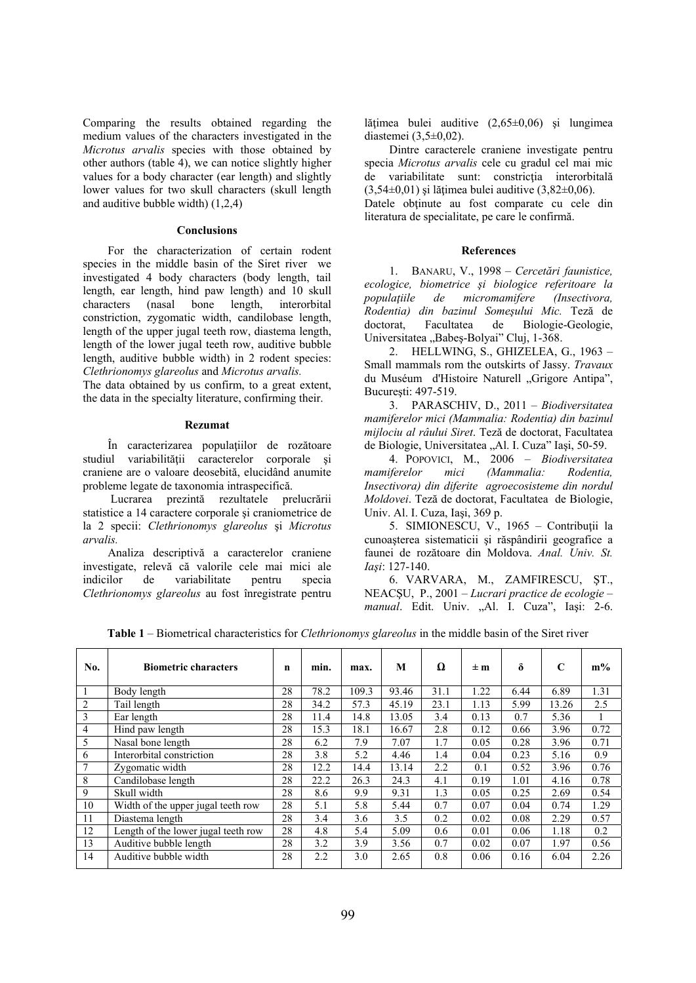Comparing the results obtained regarding the medium values of the characters investigated in the *Microtus arvalis* species with those obtained by other authors (table 4), we can notice slightly higher values for a body character (ear length) and slightly lower values for two skull characters (skull length and auditive bubble width) (1,2,4)

## **Conclusions**

For the characterization of certain rodent species in the middle basin of the Siret river we investigated 4 body characters (body length, tail length, ear length, hind paw length) and 10 skull characters (nasal bone length, interorbital constriction, zygomatic width, candilobase length, length of the upper jugal teeth row, diastema length, length of the lower jugal teeth row, auditive bubble length, auditive bubble width) in 2 rodent species: *Clethrionomys glareolus* and *Microtus arvalis.* 

The data obtained by us confirm, to a great extent, the data in the specialty literature, confirming their.

#### **Rezumat**

În caracterizarea populaţiilor de rozătoare studiul variabilităţii caracterelor corporale şi craniene are o valoare deosebită, elucidând anumite probleme legate de taxonomia intraspecifică.

 Lucrarea prezintă rezultatele prelucrării statistice a 14 caractere corporale şi craniometrice de la 2 specii: *Clethrionomys glareolus* şi *Microtus arvalis.* 

Analiza descriptivă a caracterelor craniene investigate, relevă că valorile cele mai mici ale indicilor de variabilitate pentru specia *Clethrionomys glareolus* au fost înregistrate pentru lățimea bulei auditive (2,65±0,06) și lungimea diastemei (3,5±0,02).

Dintre caracterele craniene investigate pentru specia *Microtus arvalis* cele cu gradul cel mai mic de variabilitate sunt: constrictia interorbitală  $(3.54\pm0.01)$  si lătimea bulei auditive  $(3.82\pm0.06)$ .

Datele obţinute au fost comparate cu cele din literatura de specialitate, pe care le confirmă.

## **References**

1. BANARU, V., 1998 – *Cercetări faunistice, ecologice, biometrice şi biologice referitoare la populaţiile de micromamifere (Insectivora, Rodentia) din bazinul Someşului Mic.* Teză de doctorat, Facultatea de Biologie-Geologie, Universitatea "Babeş-Bolyai" Cluj, 1-368.

2. HELLWING, S., GHIZELEA, G., 1963 – Small mammals rom the outskirts of Jassy. *Travaux* du Muséum d'Histoire Naturell "Grigore Antipa", Bucureşti: 497-519.

3. PARASCHIV, D., 2011 – *Biodiversitatea mamiferelor mici (Mammalia: Rodentia) din bazinul mijlociu al râului Siret*. Teză de doctorat, Facultatea de Biologie, Universitatea "Al. I. Cuza" Iași, 50-59.

4. POPOVICI, M., 2006 – *Biodiversitatea mamiferelor mici (Mammalia: Rodentia, Insectivora) din diferite agroecosisteme din nordul Moldovei*. Teză de doctorat, Facultatea de Biologie, Univ. Al. I. Cuza, Iaşi, 369 p.

5. SIMIONESCU, V., 1965 – Contribuţii la cunoaşterea sistematicii şi răspândirii geografice a faunei de rozătoare din Moldova. *Anal. Univ. St. Iaşi*: 127-140.

6. VARVARA, M., ZAMFIRESCU, ŞT., NEACŞU, P., 2001 – *Lucrari practice de ecologie – manual.* Edit. Univ. "Al. I. Cuza", Iași: 2-6.

**Table 1** – Biometrical characteristics for *Clethrionomys glareolus* in the middle basin of the Siret river

| No.            | <b>Biometric characters</b>         | n  | min. | max.  | M     | Ω    | $\pm m$ | δ    | C     | $m\%$ |
|----------------|-------------------------------------|----|------|-------|-------|------|---------|------|-------|-------|
| 1              | Body length                         | 28 | 78.2 | 109.3 | 93.46 | 31.1 | 1.22    | 6.44 | 6.89  | 1.31  |
| $\overline{2}$ | Tail length                         | 28 | 34.2 | 57.3  | 45.19 | 23.1 | 1.13    | 5.99 | 13.26 | 2.5   |
| 3              | Ear length                          | 28 | 11.4 | 14.8  | 13.05 | 3.4  | 0.13    | 0.7  | 5.36  |       |
| 4              | Hind paw length                     | 28 | 15.3 | 18.1  | 16.67 | 2.8  | 0.12    | 0.66 | 3.96  | 0.72  |
| 5              | Nasal bone length                   | 28 | 6.2  | 7.9   | 7.07  | 1.7  | 0.05    | 0.28 | 3.96  | 0.71  |
| 6              | Interorbital constriction           | 28 | 3.8  | 5.2   | 4.46  | 1.4  | 0.04    | 0.23 | 5.16  | 0.9   |
| $\tau$         | Zygomatic width                     | 28 | 12.2 | 14.4  | 13.14 | 2.2  | 0.1     | 0.52 | 3.96  | 0.76  |
| 8              | Candilobase length                  | 28 | 22.2 | 26.3  | 24.3  | 4.1  | 0.19    | 1.01 | 4.16  | 0.78  |
| 9              | Skull width                         | 28 | 8.6  | 9.9   | 9.31  | 1.3  | 0.05    | 0.25 | 2.69  | 0.54  |
| 10             | Width of the upper jugal teeth row  | 28 | 5.1  | 5.8   | 5.44  | 0.7  | 0.07    | 0.04 | 0.74  | 1.29  |
| 11             | Diastema length                     | 28 | 3.4  | 3.6   | 3.5   | 0.2  | 0.02    | 0.08 | 2.29  | 0.57  |
| 12             | Length of the lower jugal teeth row | 28 | 4.8  | 5.4   | 5.09  | 0.6  | 0.01    | 0.06 | 1.18  | 0.2   |
| 13             | Auditive bubble length              | 28 | 3.2  | 3.9   | 3.56  | 0.7  | 0.02    | 0.07 | 1.97  | 0.56  |
| 14             | Auditive bubble width               | 28 | 2.2  | 3.0   | 2.65  | 0.8  | 0.06    | 0.16 | 6.04  | 2.26  |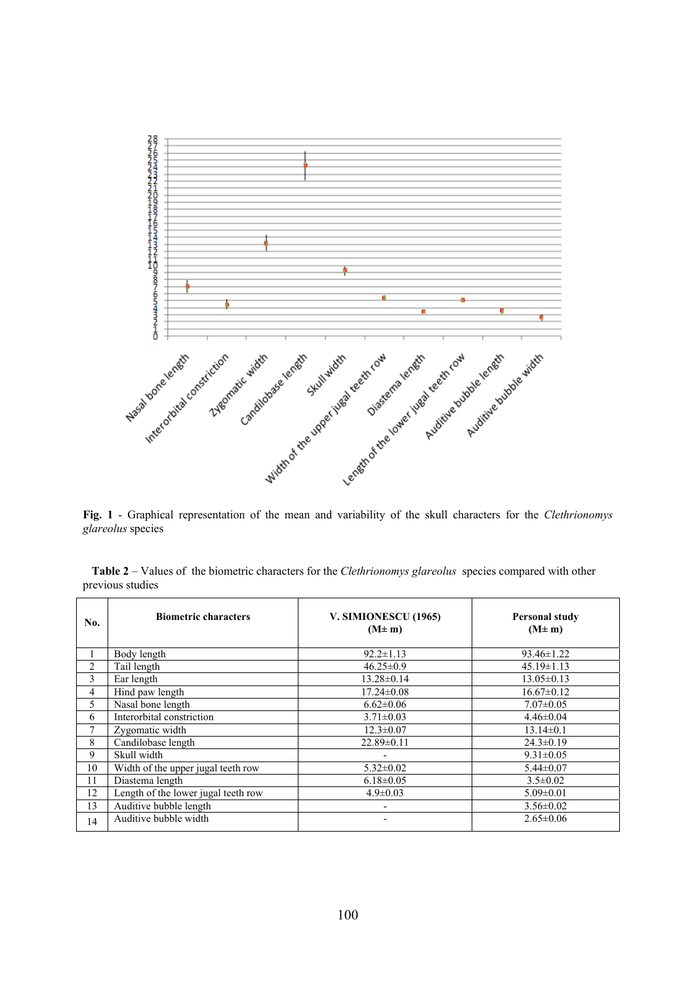

**Fig. 1** - Graphical representation of the mean and variability of the skull characters for the *Clethrionomys glareolus* species

|                  | Table 2 – Values of the biometric characters for the <i>Clethrionomys glareolus</i> species compared with other |  |  |
|------------------|-----------------------------------------------------------------------------------------------------------------|--|--|
| previous studies |                                                                                                                 |  |  |

| No. | <b>Biometric characters</b>         | V. SIMIONESCU (1965)<br>$(M \pm m)$ | <b>Personal study</b><br>$(M \pm m)$ |
|-----|-------------------------------------|-------------------------------------|--------------------------------------|
|     | Body length                         | $92.2 \pm 1.13$                     | $93.46 \pm 1.22$                     |
| 2   | Tail length                         | $46.25 \pm 0.9$                     | $45.19 \pm 1.13$                     |
| 3   | Ear length                          | $13.28 \pm 0.14$                    | $13.05 \pm 0.13$                     |
| 4   | Hind paw length                     | $17.24 \pm 0.08$                    | $16.67 \pm 0.12$                     |
| 5.  | Nasal bone length                   | $6.62 \pm 0.06$                     | $7.07 \pm 0.05$                      |
| 6   | Interorbital constriction           | $3.71 \pm 0.03$                     | $4.46 \pm 0.04$                      |
| 7   | Zygomatic width                     | $12.3 \pm 0.07$                     | $13.14 \pm 0.1$                      |
| 8   | Candilobase length                  | $22.89 \pm 0.11$                    | $24.3 \pm 0.19$                      |
| 9   | Skull width                         |                                     | $9.31 \pm 0.05$                      |
| 10  | Width of the upper jugal teeth row  | $5.32 \pm 0.02$                     | $5.44 \pm 0.07$                      |
| 11  | Diastema length                     | $6.18 \pm 0.05$                     | $3.5 \pm 0.02$                       |
| 12  | Length of the lower jugal teeth row | $4.9 \pm 0.03$                      | $5.09 \pm 0.01$                      |
| 13  | Auditive bubble length              |                                     | $3.56 \pm 0.02$                      |
| 14  | Auditive bubble width               |                                     | $2.65 \pm 0.06$                      |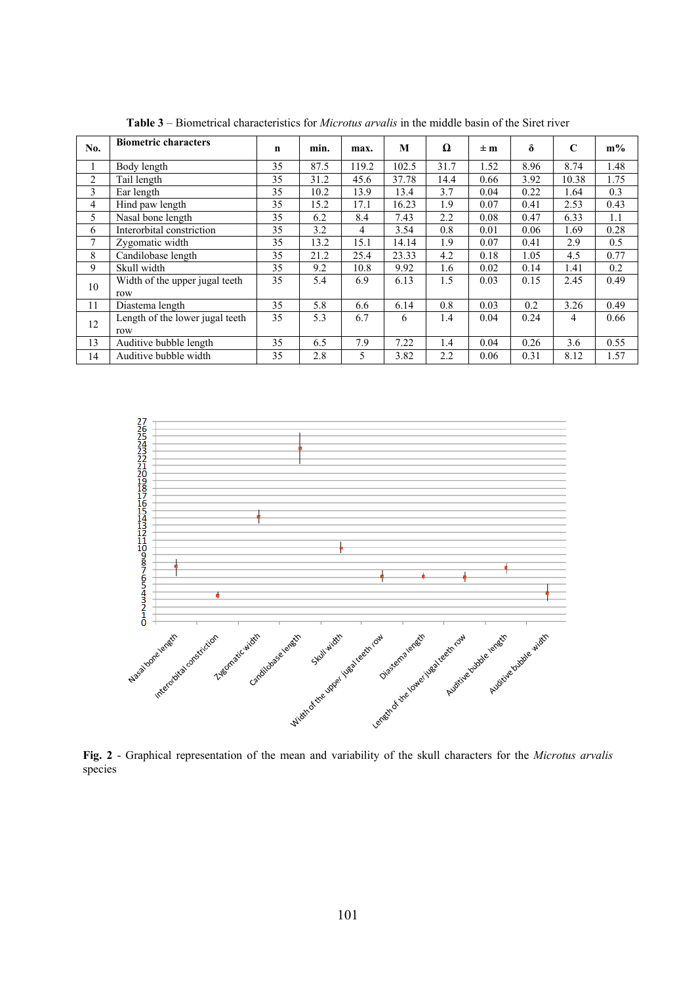| No.            | <b>Biometric characters</b>     | $\mathbf n$ | min. | max.  | M     | Ω    | $\pm m$ | $\delta$ | $\mathbf C$ | $m\%$ |
|----------------|---------------------------------|-------------|------|-------|-------|------|---------|----------|-------------|-------|
| 1              | Body length                     | 35          | 87.5 | 119.2 | 102.5 | 31.7 | 1.52    | 8.96     | 8.74        | 1.48  |
| $\overline{c}$ | Tail length                     | 35          | 31.2 | 45.6  | 37.78 | 14.4 | 0.66    | 3.92     | 10.38       | 1.75  |
| 3              | Ear length                      | 35          | 10.2 | 13.9  | 13.4  | 3.7  | 0.04    | 0.22     | 1.64        | 0.3   |
| 4              | Hind paw length                 | 35          | 15.2 | 17.1  | 16.23 | 1.9  | 0.07    | 0.41     | 2.53        | 0.43  |
| 5              | Nasal bone length               | 35          | 6.2  | 8.4   | 7.43  | 2.2  | 0.08    | 0.47     | 6.33        | 1.1   |
| 6              | Interorbital constriction       | 35          | 3.2  | 4     | 3.54  | 0.8  | 0.01    | 0.06     | 1.69        | 0.28  |
| 7              | Zygomatic width                 | 35          | 13.2 | 15.1  | 14.14 | 1.9  | 0.07    | 0.41     | 2.9         | 0.5   |
| 8              | Candilobase length              | 35          | 21.2 | 25.4  | 23.33 | 4.2  | 0.18    | 1.05     | 4.5         | 0.77  |
| 9              | Skull width                     | 35          | 9.2  | 10.8  | 9.92  | 1.6  | 0.02    | 0.14     | 1.41        | 0.2   |
| 10             | Width of the upper jugal teeth  | 35          | 5.4  | 6.9   | 6.13  | 1.5  | 0.03    | 0.15     | 2.45        | 0.49  |
|                | row                             |             |      |       |       |      |         |          |             |       |
| 11             | Diastema length                 | 35          | 5.8  | 6.6   | 6.14  | 0.8  | 0.03    | 0.2      | 3.26        | 0.49  |
| 12             | Length of the lower jugal teeth | 35          | 5.3  | 6.7   | 6     | 1.4  | 0.04    | 0.24     | 4           | 0.66  |
|                | row                             |             |      |       |       |      |         |          |             |       |
| 13             | Auditive bubble length          | 35          | 6.5  | 7.9   | 7.22  | 1.4  | 0.04    | 0.26     | 3.6         | 0.55  |
| 14             | Auditive bubble width           | 35          | 2.8  | 5     | 3.82  | 2.2  | 0.06    | 0.31     | 8.12        | 1.57  |

**Table 3** – Biometrical characteristics for *Microtus arvalis* in the middle basin of the Siret river



**Fig. 2** - Graphical representation of the mean and variability of the skull characters for the *Microtus arvalis* species